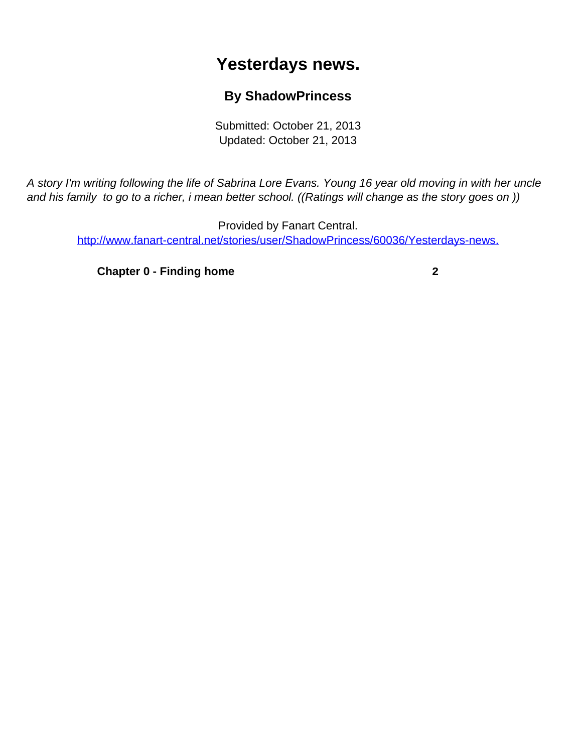## **Yesterdays news.**

## **By ShadowPrincess**

Submitted: October 21, 2013 Updated: October 21, 2013

<span id="page-0-0"></span>A story I'm writing following the life of Sabrina Lore Evans. Young 16 year old moving in with her uncle and his family to go to a richer, i mean better school. ((Ratings will change as the story goes on ))

Provided by Fanart Central. [http://www.fanart-central.net/stories/user/ShadowPrincess/60036/Yesterdays-news.](#page-0-0)

**[Chapter 0 - Finding home](#page-1-0)** [2](#page-1-0)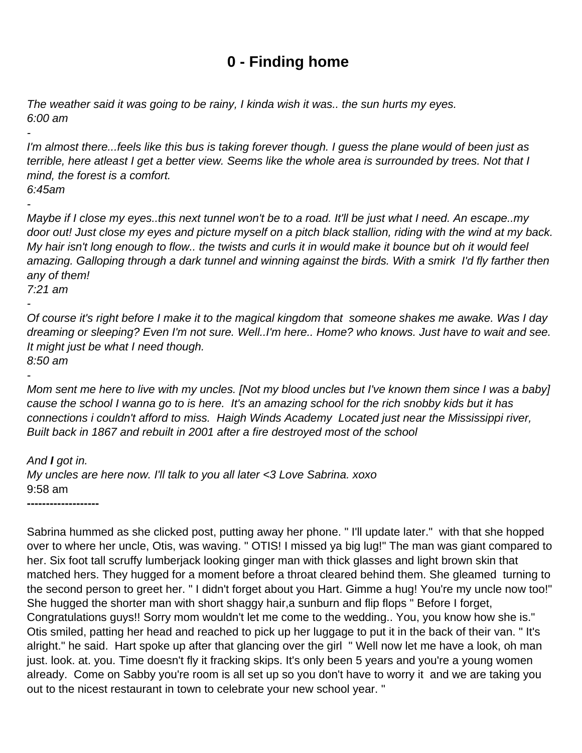## **0 - Finding home**

<span id="page-1-0"></span>The weather said it was going to be rainy, I kinda wish it was.. the sun hurts my eyes. 6:00 am

I'm almost there...feels like this bus is taking forever though. I guess the plane would of been just as terrible, here atleast I get a better view. Seems like the whole area is surrounded by trees. Not that I mind, the forest is a comfort. 6:45am

-

-

Maybe if I close my eyes..this next tunnel won't be to a road. It'll be just what I need. An escape..my door out! Just close my eyes and picture myself on a pitch black stallion, riding with the wind at my back. My hair isn't long enough to flow.. the twists and curls it in would make it bounce but oh it would feel amazing. Galloping through a dark tunnel and winning against the birds. With a smirk I'd fly farther then any of them!

7:21 am -

Of course it's right before I make it to the magical kingdom that someone shakes me awake. Was I day dreaming or sleeping? Even I'm not sure. Well..I'm here.. Home? who knows. Just have to wait and see. It might just be what I need though.

8:50 am -

Mom sent me here to live with my uncles. [Not my blood uncles but I've known them since I was a baby] cause the school I wanna go to is here. It's an amazing school for the rich snobby kids but it has connections i couldn't afford to miss. Haigh Winds Academy Located just near the Mississippi river, Built back in 1867 and rebuilt in 2001 after a fire destroyed most of the school

And **I** got in. My uncles are here now. I'll talk to you all later <3 Love Sabrina. xoxo 9:58 am **-------------------**

Sabrina hummed as she clicked post, putting away her phone. " I'll update later." with that she hopped over to where her uncle, Otis, was waving. " OTIS! I missed ya big lug!" The man was giant compared to her. Six foot tall scruffy lumberjack looking ginger man with thick glasses and light brown skin that matched hers. They hugged for a moment before a throat cleared behind them. She gleamed turning to the second person to greet her. " I didn't forget about you Hart. Gimme a hug! You're my uncle now too!" She hugged the shorter man with short shaggy hair,a sunburn and flip flops " Before I forget, Congratulations guys!! Sorry mom wouldn't let me come to the wedding.. You, you know how she is." Otis smiled, patting her head and reached to pick up her luggage to put it in the back of their van. " It's alright." he said. Hart spoke up after that glancing over the girl " Well now let me have a look, oh man just. look. at. you. Time doesn't fly it fracking skips. It's only been 5 years and you're a young women already. Come on Sabby you're room is all set up so you don't have to worry it and we are taking you out to the nicest restaurant in town to celebrate your new school year. "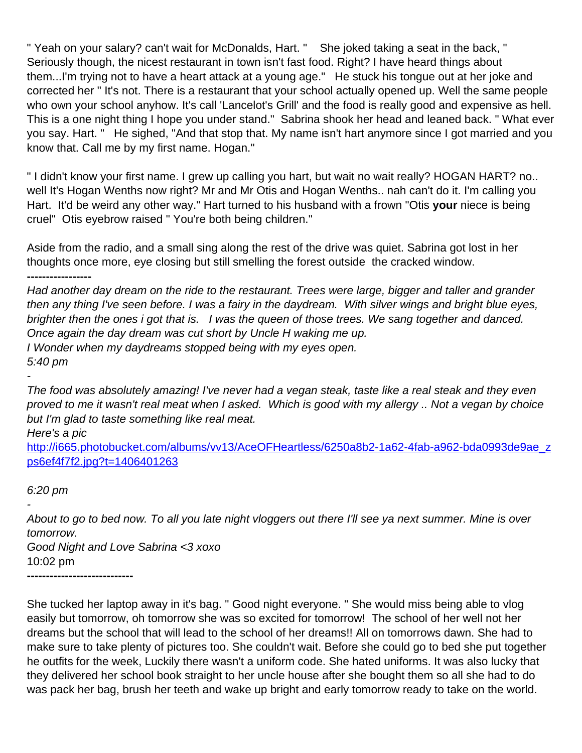" Yeah on your salary? can't wait for McDonalds, Hart. " She joked taking a seat in the back, " Seriously though, the nicest restaurant in town isn't fast food. Right? I have heard things about them...I'm trying not to have a heart attack at a young age." He stuck his tongue out at her joke and corrected her " It's not. There is a restaurant that your school actually opened up. Well the same people who own your school anyhow. It's call 'Lancelot's Grill' and the food is really good and expensive as hell. This is a one night thing I hope you under stand." Sabrina shook her head and leaned back. " What ever you say. Hart. " He sighed, "And that stop that. My name isn't hart anymore since I got married and you know that. Call me by my first name. Hogan."

" I didn't know your first name. I grew up calling you hart, but wait no wait really? HOGAN HART? no.. well It's Hogan Wenths now right? Mr and Mr Otis and Hogan Wenths.. nah can't do it. I'm calling you Hart. It'd be weird any other way." Hart turned to his husband with a frown "Otis **your** niece is being cruel" Otis eyebrow raised " You're both being children."

Aside from the radio, and a small sing along the rest of the drive was quiet. Sabrina got lost in her thoughts once more, eye closing but still smelling the forest outside the cracked window.

**-----------------**

Had another day dream on the ride to the restaurant. Trees were large, bigger and taller and grander then any thing I've seen before. I was a fairy in the daydream. With silver wings and bright blue eyes, brighter then the ones i got that is. I was the queen of those trees. We sang together and danced. Once again the day dream was cut short by Uncle H waking me up. I Wonder when my daydreams stopped being with my eyes open. 5:40 pm

-

The food was absolutely amazing! I've never had a vegan steak, taste like a real steak and they even proved to me it wasn't real meat when I asked. Which is good with my allergy .. Not a vegan by choice but I'm glad to taste something like real meat.

Here's a pic

[http://i665.photobucket.com/albums/vv13/AceOFHeartless/6250a8b2-1a62-4fab-a962-bda0993de9ae\\_z](http://i665.photobucket.com/albums/vv13/AceOFHeartless/6250a8b2-1a62-4fab-a962-bda0993de9ae_zps6ef4f7f2.jpg?t=1406401263) [ps6ef4f7f2.jpg?t=1406401263](http://i665.photobucket.com/albums/vv13/AceOFHeartless/6250a8b2-1a62-4fab-a962-bda0993de9ae_zps6ef4f7f2.jpg?t=1406401263)

6:20 pm

- About to go to bed now. To all you late night vloggers out there I'll see ya next summer. Mine is over tomorrow.

Good Night and Love Sabrina <3 xoxo 10:02 pm **----------------------------**

She tucked her laptop away in it's bag. " Good night everyone. " She would miss being able to vlog easily but tomorrow, oh tomorrow she was so excited for tomorrow! The school of her well not her dreams but the school that will lead to the school of her dreams!! All on tomorrows dawn. She had to make sure to take plenty of pictures too. She couldn't wait. Before she could go to bed she put together he outfits for the week, Luckily there wasn't a uniform code. She hated uniforms. It was also lucky that they delivered her school book straight to her uncle house after she bought them so all she had to do was pack her bag, brush her teeth and wake up bright and early tomorrow ready to take on the world.